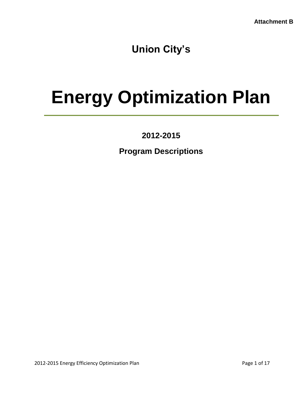**Union City's**

# **Energy Optimization Plan**

**2012-2015**

**Program Descriptions**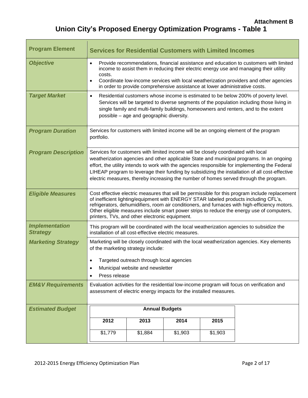# **Union City's Proposed Energy Optimization Programs - Table 1**

| <b>Program Element</b>                   | <b>Services for Residential Customers with Limited Incomes</b>                                                                                                                                                                                                                                                                                                                                                                                                             |                                                                                                                                                                                                                                                                                                                    |         |         |                                                                                      |  |  |
|------------------------------------------|----------------------------------------------------------------------------------------------------------------------------------------------------------------------------------------------------------------------------------------------------------------------------------------------------------------------------------------------------------------------------------------------------------------------------------------------------------------------------|--------------------------------------------------------------------------------------------------------------------------------------------------------------------------------------------------------------------------------------------------------------------------------------------------------------------|---------|---------|--------------------------------------------------------------------------------------|--|--|
| <b>Objective</b>                         | Provide recommendations, financial assistance and education to customers with limited<br>$\bullet$<br>income to assist them in reducing their electric energy use and managing their utility<br>costs.<br>Coordinate low-income services with local weatherization providers and other agencies<br>$\bullet$<br>in order to provide comprehensive assistance at lower administrative costs.                                                                                |                                                                                                                                                                                                                                                                                                                    |         |         |                                                                                      |  |  |
| <b>Target Market</b>                     | $\bullet$                                                                                                                                                                                                                                                                                                                                                                                                                                                                  | Residential customers whose income is estimated to be below 200% of poverty level.<br>Services will be targeted to diverse segments of the population including those living in<br>single family and multi-family buildings, homeowners and renters, and to the extent<br>possible - age and geographic diversity. |         |         |                                                                                      |  |  |
| <b>Program Duration</b>                  | portfolio.                                                                                                                                                                                                                                                                                                                                                                                                                                                                 |                                                                                                                                                                                                                                                                                                                    |         |         | Services for customers with limited income will be an ongoing element of the program |  |  |
| <b>Program Description</b>               | Services for customers with limited income will be closely coordinated with local<br>weatherization agencies and other applicable State and municipal programs. In an ongoing<br>effort, the utility intends to work with the agencies responsible for implementing the Federal<br>LIHEAP program to leverage their funding by subsidizing the installation of all cost-effective<br>electric measures, thereby increasing the number of homes served through the program. |                                                                                                                                                                                                                                                                                                                    |         |         |                                                                                      |  |  |
| <b>Eligible Measures</b>                 | Cost effective electric measures that will be permissible for this program include replacement<br>of inefficient lighting/equipment with ENERGY STAR labeled products including CFL's,<br>refrigerators, dehumidifiers, room air conditioners, and furnaces with high-efficiency motors.<br>Other eligible measures include smart power strips to reduce the energy use of computers,<br>printers, TVs, and other electronic equipment.                                    |                                                                                                                                                                                                                                                                                                                    |         |         |                                                                                      |  |  |
| <b>Implementation</b><br><b>Strategy</b> | This program will be coordinated with the local weatherization agencies to subsidize the<br>installation of all cost-effective electric measures.                                                                                                                                                                                                                                                                                                                          |                                                                                                                                                                                                                                                                                                                    |         |         |                                                                                      |  |  |
| <b>Marketing Strategy</b>                | Marketing will be closely coordinated with the local weatherization agencies. Key elements<br>of the marketing strategy include:<br>Targeted outreach through local agencies<br>$\bullet$<br>Municipal website and newsletter<br>$\bullet$<br>Press release<br>٠                                                                                                                                                                                                           |                                                                                                                                                                                                                                                                                                                    |         |         |                                                                                      |  |  |
| <b>EM&amp;V Requirements</b>             | Evaluation activities for the residential low-income program will focus on verification and<br>assessment of electric energy impacts for the installed measures.                                                                                                                                                                                                                                                                                                           |                                                                                                                                                                                                                                                                                                                    |         |         |                                                                                      |  |  |
| <b>Estimated Budget</b>                  |                                                                                                                                                                                                                                                                                                                                                                                                                                                                            | <b>Annual Budgets</b>                                                                                                                                                                                                                                                                                              |         |         |                                                                                      |  |  |
|                                          | 2012                                                                                                                                                                                                                                                                                                                                                                                                                                                                       | 2013                                                                                                                                                                                                                                                                                                               | 2014    | 2015    |                                                                                      |  |  |
|                                          | \$1,779                                                                                                                                                                                                                                                                                                                                                                                                                                                                    | \$1,884                                                                                                                                                                                                                                                                                                            | \$1,903 | \$1,903 |                                                                                      |  |  |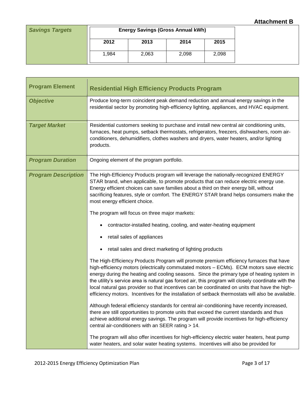| <b>Savings Targets</b> | <b>Energy Savings (Gross Annual kWh)</b> |       |       |       |  |
|------------------------|------------------------------------------|-------|-------|-------|--|
|                        | 2012                                     | 2013  | 2014  | 2015  |  |
|                        | 1,984                                    | 2,063 | 2,098 | 2,098 |  |

| <b>Program Element</b>     | <b>Residential High Efficiency Products Program</b>                                                                                                                                                                                                                                                                                                                                                                                                                                                                                                                                            |
|----------------------------|------------------------------------------------------------------------------------------------------------------------------------------------------------------------------------------------------------------------------------------------------------------------------------------------------------------------------------------------------------------------------------------------------------------------------------------------------------------------------------------------------------------------------------------------------------------------------------------------|
| <b>Objective</b>           | Produce long-term coincident peak demand reduction and annual energy savings in the<br>residential sector by promoting high-efficiency lighting, appliances, and HVAC equipment.                                                                                                                                                                                                                                                                                                                                                                                                               |
| <b>Target Market</b>       | Residential customers seeking to purchase and install new central air conditioning units,<br>furnaces, heat pumps, setback thermostats, refrigerators, freezers, dishwashers, room air-<br>conditioners, dehumidifiers, clothes washers and dryers, water heaters, and/or lighting<br>products.                                                                                                                                                                                                                                                                                                |
| <b>Program Duration</b>    | Ongoing element of the program portfolio.                                                                                                                                                                                                                                                                                                                                                                                                                                                                                                                                                      |
| <b>Program Description</b> | The High-Efficiency Products program will leverage the nationally-recognized ENERGY<br>STAR brand, when applicable, to promote products that can reduce electric energy use.<br>Energy efficient choices can save families about a third on their energy bill, without<br>sacrificing features, style or comfort. The ENERGY STAR brand helps consumers make the<br>most energy efficient choice.                                                                                                                                                                                              |
|                            | The program will focus on three major markets:                                                                                                                                                                                                                                                                                                                                                                                                                                                                                                                                                 |
|                            | contractor-installed heating, cooling, and water-heating equipment                                                                                                                                                                                                                                                                                                                                                                                                                                                                                                                             |
|                            | retail sales of appliances                                                                                                                                                                                                                                                                                                                                                                                                                                                                                                                                                                     |
|                            | retail sales and direct marketing of lighting products                                                                                                                                                                                                                                                                                                                                                                                                                                                                                                                                         |
|                            | The High-Efficiency Products Program will promote premium efficiency furnaces that have<br>high-efficiency motors (electrically commutated motors - ECMs). ECM motors save electric<br>energy during the heating and cooling seasons. Since the primary type of heating system in<br>the utility's service area is natural gas forced air, this program will closely coordinate with the<br>local natural gas provider so that incentives can be coordinated on units that have the high-<br>efficiency motors. Incentives for the installation of setback thermostats will also be available. |
|                            | Although federal efficiency standards for central air-conditioning have recently increased,<br>there are still opportunities to promote units that exceed the current standards and thus<br>achieve additional energy savings. The program will provide incentives for high-efficiency<br>central air-conditioners with an SEER rating > 14.                                                                                                                                                                                                                                                   |
|                            | The program will also offer incentives for high-efficiency electric water heaters, heat pump<br>water heaters, and solar water heating systems. Incentives will also be provided for                                                                                                                                                                                                                                                                                                                                                                                                           |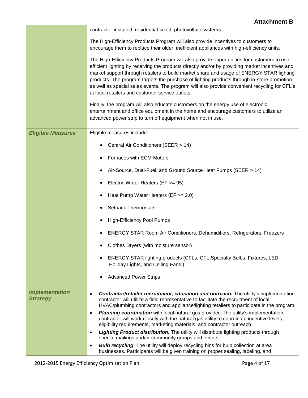|                                          | contractor-installed, residential-sized, photovoltaic systems.                                                                                                                                                                                                                                                                                                                                                                                                                                                                              |
|------------------------------------------|---------------------------------------------------------------------------------------------------------------------------------------------------------------------------------------------------------------------------------------------------------------------------------------------------------------------------------------------------------------------------------------------------------------------------------------------------------------------------------------------------------------------------------------------|
|                                          | The High-Efficiency Products Program will also provide incentives to customers to<br>encourage them to replace their older, inefficient appliances with high-efficiency units.                                                                                                                                                                                                                                                                                                                                                              |
|                                          | The High-Efficiency Products Program will also provide opportunities for customers to use<br>efficient lighting by receiving the products directly and/or by providing market incentives and<br>market support through retailers to build market share and usage of ENERGY STAR lighting<br>products. The program targets the purchase of lighting products through in-store promotion<br>as well as special sales events. The program will also provide convenient recycling for CFL's<br>at local retailers and customer service outlets. |
|                                          | Finally, the program will also educate customers on the energy use of electronic<br>entertainment and office equipment in the home and encourage customers to utilize an<br>advanced power strip to turn off equipment when not in use.                                                                                                                                                                                                                                                                                                     |
| <b>Eligible Measures</b>                 | Eligible measures include:                                                                                                                                                                                                                                                                                                                                                                                                                                                                                                                  |
|                                          | Central Air Conditioners (SEER > 14)                                                                                                                                                                                                                                                                                                                                                                                                                                                                                                        |
|                                          | <b>Furnaces with ECM Motors</b>                                                                                                                                                                                                                                                                                                                                                                                                                                                                                                             |
|                                          | Air-Source, Dual-Fuel, and Ground Source Heat Pumps (SEER > 14)                                                                                                                                                                                                                                                                                                                                                                                                                                                                             |
|                                          | Electric Water Heaters (EF >=.95)                                                                                                                                                                                                                                                                                                                                                                                                                                                                                                           |
|                                          | Heat Pump Water Heaters ( $EF \ge 2.0$ )<br>٠                                                                                                                                                                                                                                                                                                                                                                                                                                                                                               |
|                                          | <b>Setback Thermostats</b><br>٠                                                                                                                                                                                                                                                                                                                                                                                                                                                                                                             |
|                                          | <b>High-Efficiency Pool Pumps</b><br>٠                                                                                                                                                                                                                                                                                                                                                                                                                                                                                                      |
|                                          | ENERGY STAR Room Air Conditioners, Dehumidifiers, Refrigerators, Freezers                                                                                                                                                                                                                                                                                                                                                                                                                                                                   |
|                                          | Clothes Dryers (with moisture sensor)                                                                                                                                                                                                                                                                                                                                                                                                                                                                                                       |
|                                          | ENERGY STAR lighting products (CFLs, CFL Specialty Bulbs, Fixtures, LED<br>$\bullet$<br>Holiday Lights, and Ceiling Fans.)                                                                                                                                                                                                                                                                                                                                                                                                                  |
|                                          | <b>Advanced Power Strips</b><br>$\bullet$                                                                                                                                                                                                                                                                                                                                                                                                                                                                                                   |
| <b>Implementation</b><br><b>Strategy</b> | <b>Contractor/retailer recruitment, education and outreach.</b> The utility's implementation<br>$\bullet$<br>contractor will utilize a field representative to facilitate the recruitment of local<br>HVAC/plumbing contractors and appliance/lighting retailers to participate in the program.                                                                                                                                                                                                                                             |
|                                          | <b>Planning coordination</b> with local natural gas provider. The utility's implementation<br>$\bullet$<br>contractor will work closely with the natural gas utility to coordinate incentive levels,<br>eligibility requirements, marketing materials, and contractor outreach.                                                                                                                                                                                                                                                             |
|                                          | <b>Lighting Product distribution.</b> The utility will distribute lighting products through<br>$\bullet$<br>special mailings and/or community groups and events.                                                                                                                                                                                                                                                                                                                                                                            |
|                                          | <b>Bulb recycling:</b> The utility will deploy recycling bins for bulb collection at area<br>$\bullet$<br>businesses. Participants will be given training on proper sealing, labeling, and                                                                                                                                                                                                                                                                                                                                                  |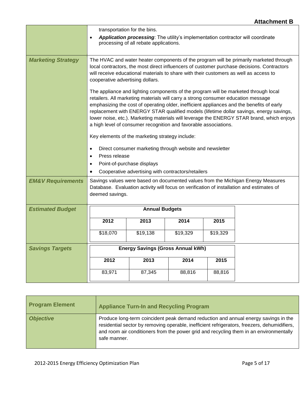|                              | transportation for the bins.<br>Application processing: The utility's implementation contractor will coordinate                                                                                                                                                                                                   |                                                                                                                                                                                                                                                                                                                                                                                                                                                                                                                                   |          |          |  |  |  |
|------------------------------|-------------------------------------------------------------------------------------------------------------------------------------------------------------------------------------------------------------------------------------------------------------------------------------------------------------------|-----------------------------------------------------------------------------------------------------------------------------------------------------------------------------------------------------------------------------------------------------------------------------------------------------------------------------------------------------------------------------------------------------------------------------------------------------------------------------------------------------------------------------------|----------|----------|--|--|--|
|                              | $\bullet$                                                                                                                                                                                                                                                                                                         | processing of all rebate applications.                                                                                                                                                                                                                                                                                                                                                                                                                                                                                            |          |          |  |  |  |
| <b>Marketing Strategy</b>    | The HVAC and water heater components of the program will be primarily marketed through<br>local contractors, the most direct influencers of customer purchase decisions. Contractors<br>will receive educational materials to share with their customers as well as access to<br>cooperative advertising dollars. |                                                                                                                                                                                                                                                                                                                                                                                                                                                                                                                                   |          |          |  |  |  |
|                              |                                                                                                                                                                                                                                                                                                                   | The appliance and lighting components of the program will be marketed through local<br>retailers. All marketing materials will carry a strong consumer education message<br>emphasizing the cost of operating older, inefficient appliances and the benefits of early<br>replacement with ENERGY STAR qualified models (lifetime dollar savings, energy savings,<br>lower noise, etc.). Marketing materials will leverage the ENERGY STAR brand, which enjoys<br>a high level of consumer recognition and favorable associations. |          |          |  |  |  |
|                              |                                                                                                                                                                                                                                                                                                                   | Key elements of the marketing strategy include:                                                                                                                                                                                                                                                                                                                                                                                                                                                                                   |          |          |  |  |  |
|                              | $\bullet$                                                                                                                                                                                                                                                                                                         | Direct consumer marketing through website and newsletter                                                                                                                                                                                                                                                                                                                                                                                                                                                                          |          |          |  |  |  |
|                              | Press release<br>$\bullet$<br>Point-of-purchase displays<br>$\bullet$                                                                                                                                                                                                                                             |                                                                                                                                                                                                                                                                                                                                                                                                                                                                                                                                   |          |          |  |  |  |
|                              | Cooperative advertising with contractors/retailers                                                                                                                                                                                                                                                                |                                                                                                                                                                                                                                                                                                                                                                                                                                                                                                                                   |          |          |  |  |  |
| <b>EM&amp;V Requirements</b> | Savings values were based on documented values from the Michigan Energy Measures<br>Database. Evaluation activity will focus on verification of installation and estimates of<br>deemed savings.                                                                                                                  |                                                                                                                                                                                                                                                                                                                                                                                                                                                                                                                                   |          |          |  |  |  |
| <b>Estimated Budget</b>      | <b>Annual Budgets</b>                                                                                                                                                                                                                                                                                             |                                                                                                                                                                                                                                                                                                                                                                                                                                                                                                                                   |          |          |  |  |  |
|                              | 2012                                                                                                                                                                                                                                                                                                              | 2013                                                                                                                                                                                                                                                                                                                                                                                                                                                                                                                              | 2014     | 2015     |  |  |  |
|                              | \$18,070                                                                                                                                                                                                                                                                                                          | \$19,138                                                                                                                                                                                                                                                                                                                                                                                                                                                                                                                          | \$19,329 | \$19,329 |  |  |  |
| <b>Savings Targets</b>       |                                                                                                                                                                                                                                                                                                                   | <b>Energy Savings (Gross Annual kWh)</b>                                                                                                                                                                                                                                                                                                                                                                                                                                                                                          |          |          |  |  |  |
|                              | 2012                                                                                                                                                                                                                                                                                                              | 2013                                                                                                                                                                                                                                                                                                                                                                                                                                                                                                                              | 2014     | 2015     |  |  |  |
|                              | 83,971                                                                                                                                                                                                                                                                                                            | 87,345                                                                                                                                                                                                                                                                                                                                                                                                                                                                                                                            | 88,816   | 88,816   |  |  |  |

| <b>Program Element</b> | <b>Appliance Turn-In and Recycling Program</b>                                                                                                                                                                                                                                                |
|------------------------|-----------------------------------------------------------------------------------------------------------------------------------------------------------------------------------------------------------------------------------------------------------------------------------------------|
| <b>Objective</b>       | Produce long-term coincident peak demand reduction and annual energy savings in the<br>residential sector by removing operable, inefficient refrigerators, freezers, dehumidifiers,<br>and room air conditioners from the power grid and recycling them in an environmentally<br>safe manner. |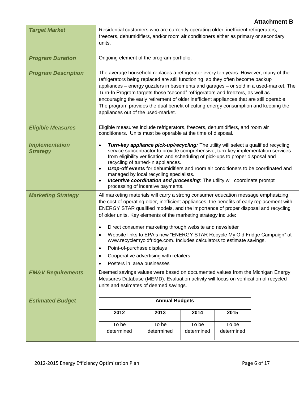|                                          |                                                                                                                                                                                                                                                                                                                                                                                                                                                                                                                                                                                                                      |                                                                                                                                                                                                                                                                                                                                                                                                                                                                                                                                                                            |                     |                     | <b>Attachment B</b> |  |  |
|------------------------------------------|----------------------------------------------------------------------------------------------------------------------------------------------------------------------------------------------------------------------------------------------------------------------------------------------------------------------------------------------------------------------------------------------------------------------------------------------------------------------------------------------------------------------------------------------------------------------------------------------------------------------|----------------------------------------------------------------------------------------------------------------------------------------------------------------------------------------------------------------------------------------------------------------------------------------------------------------------------------------------------------------------------------------------------------------------------------------------------------------------------------------------------------------------------------------------------------------------------|---------------------|---------------------|---------------------|--|--|
| <b>Target Market</b>                     | units.                                                                                                                                                                                                                                                                                                                                                                                                                                                                                                                                                                                                               | Residential customers who are currently operating older, inefficient refrigerators,<br>freezers, dehumidifiers, and/or room air conditioners either as primary or secondary                                                                                                                                                                                                                                                                                                                                                                                                |                     |                     |                     |  |  |
| <b>Program Duration</b>                  | Ongoing element of the program portfolio.                                                                                                                                                                                                                                                                                                                                                                                                                                                                                                                                                                            |                                                                                                                                                                                                                                                                                                                                                                                                                                                                                                                                                                            |                     |                     |                     |  |  |
| <b>Program Description</b>               |                                                                                                                                                                                                                                                                                                                                                                                                                                                                                                                                                                                                                      | The average household replaces a refrigerator every ten years. However, many of the<br>refrigerators being replaced are still functioning, so they often become backup<br>appliances - energy guzzlers in basements and garages - or sold in a used-market. The<br>Turn-In Program targets those "second" refrigerators and freezers, as well as<br>encouraging the early retirement of older inefficient appliances that are still operable.<br>The program provides the dual benefit of cutting energy consumption and keeping the<br>appliances out of the used-market. |                     |                     |                     |  |  |
| <b>Eligible Measures</b>                 | Eligible measures include refrigerators, freezers, dehumidifiers, and room air<br>conditioners. Units must be operable at the time of disposal.                                                                                                                                                                                                                                                                                                                                                                                                                                                                      |                                                                                                                                                                                                                                                                                                                                                                                                                                                                                                                                                                            |                     |                     |                     |  |  |
| <b>Implementation</b><br><b>Strategy</b> | Turn-key appliance pick-up/recycling: The utility will select a qualified recycling<br>$\bullet$<br>service subcontractor to provide comprehensive, turn-key implementation services<br>from eligibility verification and scheduling of pick-ups to proper disposal and<br>recycling of turned-in appliances.<br><b>Drop-off events</b> for dehumidifiers and room air conditioners to be coordinated and<br>$\bullet$<br>managed by local recycling specialists.<br><b>Incentive coordination and processing:</b> The utility will coordinate prompt<br>$\bullet$<br>processing of incentive payments.              |                                                                                                                                                                                                                                                                                                                                                                                                                                                                                                                                                                            |                     |                     |                     |  |  |
| <b>Marketing Strategy</b>                | All marketing materials will carry a strong consumer education message emphasizing<br>the cost of operating older, inefficient appliances, the benefits of early replacement with<br>ENERGY STAR qualified models, and the importance of proper disposal and recycling<br>of older units. Key elements of the marketing strategy include:<br>Direct consumer marketing through website and newsletter<br>$\bullet$<br>Website links to EPA's new "ENERGY STAR Recycle My Old Fridge Campaign" at<br>www.recyclemyoldfridge.com. Includes calculators to estimate savings.<br>Point-of-purchase displays<br>$\bullet$ |                                                                                                                                                                                                                                                                                                                                                                                                                                                                                                                                                                            |                     |                     |                     |  |  |
|                                          | Cooperative advertising with retailers<br>$\bullet$<br>Posters in area businesses                                                                                                                                                                                                                                                                                                                                                                                                                                                                                                                                    |                                                                                                                                                                                                                                                                                                                                                                                                                                                                                                                                                                            |                     |                     |                     |  |  |
| <b>EM&amp;V Requirements</b>             | Deemed savings values were based on documented values from the Michigan Energy<br>Measures Database (MEMD). Evaluation activity will focus on verification of recycled<br>units and estimates of deemed savings.                                                                                                                                                                                                                                                                                                                                                                                                     |                                                                                                                                                                                                                                                                                                                                                                                                                                                                                                                                                                            |                     |                     |                     |  |  |
| <b>Estimated Budget</b>                  |                                                                                                                                                                                                                                                                                                                                                                                                                                                                                                                                                                                                                      | <b>Annual Budgets</b>                                                                                                                                                                                                                                                                                                                                                                                                                                                                                                                                                      |                     |                     |                     |  |  |
|                                          | 2012                                                                                                                                                                                                                                                                                                                                                                                                                                                                                                                                                                                                                 | 2013                                                                                                                                                                                                                                                                                                                                                                                                                                                                                                                                                                       | 2014                | 2015                |                     |  |  |
|                                          | To be<br>determined                                                                                                                                                                                                                                                                                                                                                                                                                                                                                                                                                                                                  | To be<br>determined                                                                                                                                                                                                                                                                                                                                                                                                                                                                                                                                                        | To be<br>determined | To be<br>determined |                     |  |  |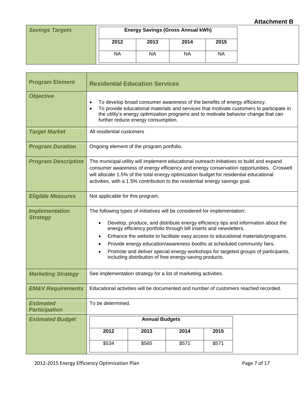| <b>Savings Targets</b> | <b>Energy Savings (Gross Annual kWh)</b> |      |           |      |  |
|------------------------|------------------------------------------|------|-----------|------|--|
|                        | 2012                                     | 2013 | 2014      | 2015 |  |
|                        | <b>NA</b>                                | NА   | <b>NA</b> | ΝA   |  |

| <b>Program Element</b>                   | <b>Residential Education Services</b>                                                                                                                                                                                                                                                                                                                                                                                                                                                                                                                          |                       |       |       |  |  |  |
|------------------------------------------|----------------------------------------------------------------------------------------------------------------------------------------------------------------------------------------------------------------------------------------------------------------------------------------------------------------------------------------------------------------------------------------------------------------------------------------------------------------------------------------------------------------------------------------------------------------|-----------------------|-------|-------|--|--|--|
| <b>Objective</b>                         | To develop broad consumer awareness of the benefits of energy efficiency.<br>$\bullet$<br>To provide educational materials and services that motivate customers to participate in<br>$\bullet$<br>the utility's energy optimization programs and to motivate behavior change that can<br>further reduce energy consumption.                                                                                                                                                                                                                                    |                       |       |       |  |  |  |
| <b>Target Market</b>                     | All residential customers                                                                                                                                                                                                                                                                                                                                                                                                                                                                                                                                      |                       |       |       |  |  |  |
| <b>Program Duration</b>                  | Ongoing element of the program portfolio.                                                                                                                                                                                                                                                                                                                                                                                                                                                                                                                      |                       |       |       |  |  |  |
| <b>Program Description</b>               | The municipal utility will implement educational outreach initiatives to build and expand<br>consumer awareness of energy efficiency and energy conservation opportunities. Croswell<br>will allocate 1.5% of the total energy optimization budget for residential educational<br>activities, with a 1.5% contribution to the residential energy savings goal.                                                                                                                                                                                                 |                       |       |       |  |  |  |
| <b>Eligible Measures</b>                 | Not applicable for this program.                                                                                                                                                                                                                                                                                                                                                                                                                                                                                                                               |                       |       |       |  |  |  |
| <b>Implementation</b><br><b>Strategy</b> | The following types of initiatives will be considered for implementation:<br>Develop, produce, and distribute energy efficiency tips and information about the<br>energy efficiency portfolio through bill inserts and newsletters.<br>Enhance the website to facilitate easy access to educational materials/programs.<br>$\bullet$<br>Provide energy education/awareness booths at scheduled community fairs.<br>Promote and deliver special energy workshops for targeted groups of participants,<br>including distribution of free energy-saving products. |                       |       |       |  |  |  |
| <b>Marketing Strategy</b>                | See implementation strategy for a list of marketing activities.                                                                                                                                                                                                                                                                                                                                                                                                                                                                                                |                       |       |       |  |  |  |
| <b>EM&amp;V Requirements</b>             | Educational activities will be documented and number of customers reached recorded.                                                                                                                                                                                                                                                                                                                                                                                                                                                                            |                       |       |       |  |  |  |
| <b>Estimated</b><br><b>Participation</b> | To be determined.                                                                                                                                                                                                                                                                                                                                                                                                                                                                                                                                              |                       |       |       |  |  |  |
| <b>Estimated Budget</b>                  |                                                                                                                                                                                                                                                                                                                                                                                                                                                                                                                                                                | <b>Annual Budgets</b> |       |       |  |  |  |
|                                          | 2012                                                                                                                                                                                                                                                                                                                                                                                                                                                                                                                                                           | 2013                  | 2014  | 2015  |  |  |  |
|                                          | \$534                                                                                                                                                                                                                                                                                                                                                                                                                                                                                                                                                          | \$565                 | \$571 | \$571 |  |  |  |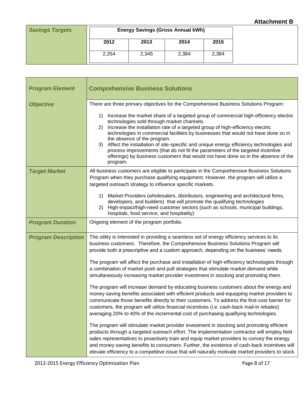| <b>Savings Targets</b> | <b>Energy Savings (Gross Annual kWh)</b> |       |       |       |  |
|------------------------|------------------------------------------|-------|-------|-------|--|
|                        | 2012                                     | 2013  | 2014  | 2015  |  |
|                        | 2,254                                    | 2,345 | 2,384 | 2,384 |  |

| <b>Program Element</b>     | <b>Comprehensive Business Solutions</b>                                                                                                                                                                                                                                                                                                                                                                                                                                                                                                                                                                                                   |
|----------------------------|-------------------------------------------------------------------------------------------------------------------------------------------------------------------------------------------------------------------------------------------------------------------------------------------------------------------------------------------------------------------------------------------------------------------------------------------------------------------------------------------------------------------------------------------------------------------------------------------------------------------------------------------|
| <b>Objective</b>           | There are three primary objectives for the Comprehensive Business Solutions Program:                                                                                                                                                                                                                                                                                                                                                                                                                                                                                                                                                      |
|                            | Increase the market share of a targeted group of commercial high-efficiency electric<br>1)<br>technologies sold through market channels.<br>Increase the installation rate of a targeted group of high-efficiency electric<br>2)<br>technologies in commercial facilities by businesses that would not have done so in<br>the absence of the program.<br>Affect the installation of site-specific and unique energy efficiency technologies and<br>3)<br>process improvements (that do not fit the parameters of the targeted incentive<br>offerings) by business customers that would not have done so in the absence of the<br>program. |
| <b>Target Market</b>       | All business customers are eligible to participate in the Comprehensive Business Solutions<br>Program when they purchase qualifying equipment. However, the program will utilize a<br>targeted outreach strategy to influence specific markets.                                                                                                                                                                                                                                                                                                                                                                                           |
|                            | Market Providers (wholesalers, distributors, engineering and architectural firms,<br>1)<br>developers, and builders) that will promote the qualifying technologies<br>High-impact/high-need customer sectors (such as schools, municipal buildings,<br>2)<br>hospitals, food service, and hospitality)                                                                                                                                                                                                                                                                                                                                    |
| <b>Program Duration</b>    | Ongoing element of the program portfolio.                                                                                                                                                                                                                                                                                                                                                                                                                                                                                                                                                                                                 |
| <b>Program Description</b> | The utility is interested in providing a seamless set of energy efficiency services to its<br>business customers. Therefore, the Comprehensive Business Solutions Program will<br>provide both a prescriptive and a custom approach, depending on the business' needs.                                                                                                                                                                                                                                                                                                                                                                    |
|                            | The program will affect the purchase and installation of high-efficiency technologies through<br>a combination of market push and pull strategies that stimulate market demand while<br>simultaneously increasing market provider investment in stocking and promoting them.                                                                                                                                                                                                                                                                                                                                                              |
|                            | The program will increase demand by educating business customers about the energy and<br>money saving benefits associated with efficient products and equipping market providers to<br>communicate those benefits directly to their customers. To address the first-cost barrier for<br>customers, the program will utilize financial incentives (i.e. cash-back mail-in rebates)<br>averaging 20% to 40% of the incremental cost of purchasing qualifying technologies.                                                                                                                                                                  |
|                            | The program will stimulate market provider investment in stocking and promoting efficient<br>products through a targeted outreach effort. The implementation contractor will employ field<br>sales representatives to proactively train and equip market providers to convey the energy<br>and money saving benefits to consumers. Further, the existence of cash-back incentives will<br>elevate efficiency to a competitive issue that will naturally motivate market providers to stock                                                                                                                                                |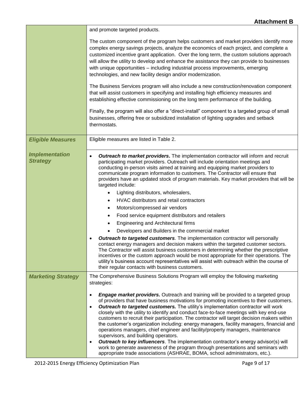|                                          | and promote targeted products.                                                                                                                                                                                                                                                                                                                                                                                                                                                                                                                                                                                                                                                                                                                                                                                                                                                                                                                                                                                                                                                                                                                                                                                                                                                                                             |
|------------------------------------------|----------------------------------------------------------------------------------------------------------------------------------------------------------------------------------------------------------------------------------------------------------------------------------------------------------------------------------------------------------------------------------------------------------------------------------------------------------------------------------------------------------------------------------------------------------------------------------------------------------------------------------------------------------------------------------------------------------------------------------------------------------------------------------------------------------------------------------------------------------------------------------------------------------------------------------------------------------------------------------------------------------------------------------------------------------------------------------------------------------------------------------------------------------------------------------------------------------------------------------------------------------------------------------------------------------------------------|
|                                          | The custom component of the program helps customers and market providers identify more<br>complex energy savings projects, analyze the economics of each project, and complete a<br>customized incentive grant application. Over the long term, the custom solutions approach<br>will allow the utility to develop and enhance the assistance they can provide to businesses<br>with unique opportunities - including industrial process improvements, emerging<br>technologies, and new facility design and/or modernization.                                                                                                                                                                                                                                                                                                                                                                                                                                                                                                                                                                                                                                                                                                                                                                                             |
|                                          | The Business Services program will also include a new construction/renovation component<br>that will assist customers in specifying and installing high efficiency measures and<br>establishing effective commissioning on the long term performance of the building.                                                                                                                                                                                                                                                                                                                                                                                                                                                                                                                                                                                                                                                                                                                                                                                                                                                                                                                                                                                                                                                      |
|                                          | Finally, the program will also offer a "direct-install" component to a targeted group of small<br>businesses, offering free or subsidized installation of lighting upgrades and setback<br>thermostats.                                                                                                                                                                                                                                                                                                                                                                                                                                                                                                                                                                                                                                                                                                                                                                                                                                                                                                                                                                                                                                                                                                                    |
| <b>Eligible Measures</b>                 | Eligible measures are listed in Table 2.                                                                                                                                                                                                                                                                                                                                                                                                                                                                                                                                                                                                                                                                                                                                                                                                                                                                                                                                                                                                                                                                                                                                                                                                                                                                                   |
| <b>Implementation</b><br><b>Strategy</b> | <b>Outreach to market providers.</b> The implementation contractor will inform and recruit<br>$\bullet$<br>participating market providers. Outreach will include orientation meetings and<br>conducting in-person visits aimed at training and equipping market providers to<br>communicate program information to customers. The Contractor will ensure that<br>providers have an updated stock of program materials. Key market providers that will be<br>targeted include:<br>Lighting distributors, wholesalers,<br>HVAC distributors and retail contractors<br>$\bullet$<br>Motors/compressed air vendors<br>$\bullet$<br>Food service equipment distributors and retailers<br>$\bullet$<br>Engineering and Architectural firms<br>٠<br>Developers and Builders in the commercial market<br><b>Outreach to targeted customers</b> . The implementation contractor will personally<br>$\bullet$<br>contact energy managers and decision makers within the targeted customer sectors.<br>The Contractor will assist business customers in determining whether the prescriptive<br>incentives or the custom approach would be most appropriate for their operations. The<br>utility's business account representatives will assist with outreach within the course of<br>their regular contacts with business customers. |
| <b>Marketing Strategy</b>                | The Comprehensive Business Solutions Program will employ the following marketing<br>strategies:                                                                                                                                                                                                                                                                                                                                                                                                                                                                                                                                                                                                                                                                                                                                                                                                                                                                                                                                                                                                                                                                                                                                                                                                                            |
|                                          | <b>Engage market providers.</b> Outreach and training will be provided to a targeted group<br>$\bullet$<br>of providers that have business motivations for promoting incentives to their customers.<br>Outreach to targeted customers. The utility's implementation contractor will work<br>$\bullet$<br>closely with the utility to identify and conduct face-to-face meetings with key end-use<br>customers to recruit their participation. The contractor will target decision makers within<br>the customer's organization including: energy managers, facility managers, financial and<br>operations managers, chief engineer and facility/property managers, maintenance<br>supervisors, and building operators.<br>Outreach to key influencers. The implementation contractor's energy advisor(s) will<br>$\bullet$<br>work to generate awareness of the program through presentations and seminars with<br>appropriate trade associations (ASHRAE, BOMA, school administrators, etc.).                                                                                                                                                                                                                                                                                                                             |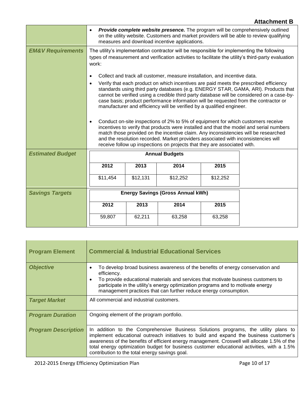|                              | $\bullet$                                                                                                                                                                                                                                                                                                                                                                                                                                                                                                                                                                                                                                                                                                                                                                                                                                                                                                                 |                       | measures and download incentive applications. |          | <b>Provide complete website presence.</b> The program will be comprehensively outlined<br>on the utility website. Customers and market providers will be able to review qualifying |
|------------------------------|---------------------------------------------------------------------------------------------------------------------------------------------------------------------------------------------------------------------------------------------------------------------------------------------------------------------------------------------------------------------------------------------------------------------------------------------------------------------------------------------------------------------------------------------------------------------------------------------------------------------------------------------------------------------------------------------------------------------------------------------------------------------------------------------------------------------------------------------------------------------------------------------------------------------------|-----------------------|-----------------------------------------------|----------|------------------------------------------------------------------------------------------------------------------------------------------------------------------------------------|
| <b>EM&amp;V Requirements</b> | The utility's implementation contractor will be responsible for implementing the following<br>types of measurement and verification activities to facilitate the utility's third-party evaluation<br>work:                                                                                                                                                                                                                                                                                                                                                                                                                                                                                                                                                                                                                                                                                                                |                       |                                               |          |                                                                                                                                                                                    |
|                              | Collect and track all customer, measure installation, and incentive data.<br>$\bullet$<br>Verify that each product on which incentives are paid meets the prescribed efficiency<br>$\bullet$<br>standards using third party databases (e.g. ENERGY STAR, GAMA, ARI). Products that<br>cannot be verified using a credible third party database will be considered on a case-by-<br>case basis; product performance information will be requested from the contractor or<br>manufacturer and efficiency will be verified by a qualified engineer.<br>Conduct on-site inspections of 2% to 5% of equipment for which customers receive<br>$\bullet$<br>incentives to verify that products were installed and that the model and serial numbers<br>match those provided on the incentive claim. Any inconsistencies will be researched<br>and the resolution recorded. Market providers associated with inconsistencies will |                       |                                               |          |                                                                                                                                                                                    |
|                              | receive follow up inspections on projects that they are associated with.                                                                                                                                                                                                                                                                                                                                                                                                                                                                                                                                                                                                                                                                                                                                                                                                                                                  |                       |                                               |          |                                                                                                                                                                                    |
| <b>Estimated Budget</b>      |                                                                                                                                                                                                                                                                                                                                                                                                                                                                                                                                                                                                                                                                                                                                                                                                                                                                                                                           | <b>Annual Budgets</b> |                                               |          |                                                                                                                                                                                    |
|                              | 2012                                                                                                                                                                                                                                                                                                                                                                                                                                                                                                                                                                                                                                                                                                                                                                                                                                                                                                                      | 2013                  | 2014                                          | 2015     |                                                                                                                                                                                    |
|                              | \$11,454                                                                                                                                                                                                                                                                                                                                                                                                                                                                                                                                                                                                                                                                                                                                                                                                                                                                                                                  | \$12,131              | \$12,252                                      | \$12,252 |                                                                                                                                                                                    |
| <b>Savings Targets</b>       | <b>Energy Savings (Gross Annual kWh)</b>                                                                                                                                                                                                                                                                                                                                                                                                                                                                                                                                                                                                                                                                                                                                                                                                                                                                                  |                       |                                               |          |                                                                                                                                                                                    |
|                              | 2012                                                                                                                                                                                                                                                                                                                                                                                                                                                                                                                                                                                                                                                                                                                                                                                                                                                                                                                      | 2013                  | 2014                                          | 2015     |                                                                                                                                                                                    |
|                              | 59,807                                                                                                                                                                                                                                                                                                                                                                                                                                                                                                                                                                                                                                                                                                                                                                                                                                                                                                                    | 62,211                | 63,258                                        | 63,258   |                                                                                                                                                                                    |

| <b>Program Element</b>     | <b>Commercial &amp; Industrial Educational Services</b>                                                                                                                                                                                                                                                                                                                                                                      |
|----------------------------|------------------------------------------------------------------------------------------------------------------------------------------------------------------------------------------------------------------------------------------------------------------------------------------------------------------------------------------------------------------------------------------------------------------------------|
| <b>Objective</b>           | To develop broad business awareness of the benefits of energy conservation and<br>efficiency.<br>To provide educational materials and services that motivate business customers to<br>$\bullet$<br>participate in the utility's energy optimization programs and to motivate energy<br>management practices that can further reduce energy consumption.                                                                      |
| <b>Target Market</b>       | All commercial and industrial customers.                                                                                                                                                                                                                                                                                                                                                                                     |
| <b>Program Duration</b>    | Ongoing element of the program portfolio.                                                                                                                                                                                                                                                                                                                                                                                    |
| <b>Program Description</b> | In addition to the Comprehensive Business Solutions programs, the utility plans to<br>implement educational outreach initiatives to build and expand the business customer's<br>awareness of the benefits of efficient energy management. Croswell will allocate 1.5% of the<br>total energy optimization budget for business customer educational activities, with a 1.5%<br>contribution to the total energy savings goal. |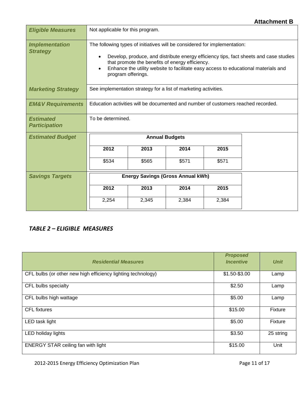| <b>Eligible Measures</b>                 | Not applicable for this program.                                                                                                                                                                                                                                                                                                  |       |       |       |  |
|------------------------------------------|-----------------------------------------------------------------------------------------------------------------------------------------------------------------------------------------------------------------------------------------------------------------------------------------------------------------------------------|-------|-------|-------|--|
| <b>Implementation</b><br><b>Strategy</b> | The following types of initiatives will be considered for implementation:<br>Develop, produce, and distribute energy efficiency tips, fact sheets and case studies<br>that promote the benefits of energy efficiency.<br>Enhance the utility website to facilitate easy access to educational materials and<br>program offerings. |       |       |       |  |
| <b>Marketing Strategy</b>                | See implementation strategy for a list of marketing activities.                                                                                                                                                                                                                                                                   |       |       |       |  |
| <b>EM&amp;V Requirements</b>             | Education activities will be documented and number of customers reached recorded.                                                                                                                                                                                                                                                 |       |       |       |  |
| <b>Estimated</b><br><b>Participation</b> | To be determined.                                                                                                                                                                                                                                                                                                                 |       |       |       |  |
| <b>Estimated Budget</b>                  | <b>Annual Budgets</b>                                                                                                                                                                                                                                                                                                             |       |       |       |  |
|                                          | 2012                                                                                                                                                                                                                                                                                                                              | 2013  | 2014  | 2015  |  |
|                                          | \$534                                                                                                                                                                                                                                                                                                                             | \$565 | \$571 | \$571 |  |
| <b>Savings Targets</b>                   | <b>Energy Savings (Gross Annual kWh)</b>                                                                                                                                                                                                                                                                                          |       |       |       |  |
|                                          | 2012                                                                                                                                                                                                                                                                                                                              | 2013  | 2014  | 2015  |  |
|                                          | 2,254                                                                                                                                                                                                                                                                                                                             | 2,345 | 2,384 | 2,384 |  |

#### *TABLE 2 – ELIGIBLE MEASURES*

| <b>Residential Measures</b>                                  | <b>Proposed</b><br><b>Incentive</b> | <b>Unit</b>    |
|--------------------------------------------------------------|-------------------------------------|----------------|
| CFL bulbs (or other new high efficiency lighting technology) | \$1.50-\$3.00                       | Lamp           |
| CFL bulbs specialty                                          | \$2.50                              | Lamp           |
| CFL bulbs high wattage                                       | \$5.00                              | Lamp           |
| <b>CFL</b> fixtures                                          | \$15.00                             | Fixture        |
| LED task light                                               | \$5.00                              | <b>Fixture</b> |
| LED holiday lights                                           | \$3.50                              | 25 string      |
| <b>ENERGY STAR ceiling fan with light</b>                    | \$15.00                             | Unit           |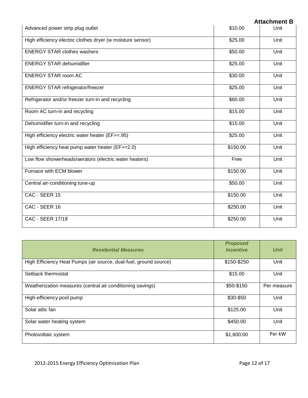|         | <b>Attachment B</b> |
|---------|---------------------|
| \$10.00 | Unit                |
|         |                     |

| Advanced power strip plug outlet                           | \$10.00  | Unit |
|------------------------------------------------------------|----------|------|
| High efficiency electric clothes dryer (w moisture sensor) | \$25.00  | Unit |
| <b>ENERGY STAR clothes washers</b>                         | \$50.00  | Unit |
| <b>ENERGY STAR dehumidifier</b>                            | \$25.00  | Unit |
| <b>ENERGY STAR room AC</b>                                 | \$30.00  | Unit |
| <b>ENERGY STAR refrigerator/freezer</b>                    | \$25.00  | Unit |
| Refrigerator and/or freezer turn-in and recycling          | \$60.00  | Unit |
| Room AC turn-in and recycling                              | \$15.00  | Unit |
| Dehumidifier turn-in and recycling                         | \$15.00  | Unit |
| High efficiency electric water heater (EF>=.95)            | \$25.00  | Unit |
| High efficiency heat pump water heater (EF>=2.0)           | \$150.00 | Unit |
| Low flow showerheads/aerators (electric water heaters)     | Free     | Unit |
| Furnace with ECM blower                                    | \$150.00 | Unit |
| Central air-conditioning tune-up                           | \$50.00  | Unit |
| CAC - SEER 15                                              | \$150.00 | Unit |
| CAC - SEER 16                                              | \$250.00 | Unit |
| <b>CAC - SEER 17/18</b>                                    | \$250.00 | Unit |

| <b>Residential Measures</b>                                       | <b>Proposed</b><br><b>Incentive</b> | <b>Unit</b> |
|-------------------------------------------------------------------|-------------------------------------|-------------|
| High Efficiency Heat Pumps (air source, dual-fuel, ground source) | \$150-\$250                         | Unit        |
| Setback thermostat                                                | \$15.00                             | Unit        |
| Weatherization measures (central air conditioning savings)        | \$50-\$150                          | Per measure |
| High-efficiency pool pump                                         | \$30-\$50                           | Unit        |
| Solar attic fan                                                   | \$125.00                            | Unit        |
| Solar water heating system                                        | \$450.00                            | Unit        |
| Photovoltaic system                                               | \$1,600.00                          | Per kW      |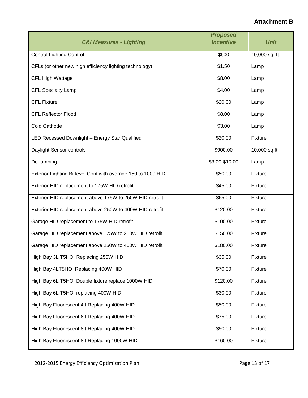|                                                               | <b>Proposed</b>  |                |
|---------------------------------------------------------------|------------------|----------------|
| <b>C&amp;I Measures - Lighting</b>                            | <b>Incentive</b> | <b>Unit</b>    |
| <b>Central Lighting Control</b>                               | \$600            | 10,000 sq. ft. |
| CFLs (or other new high efficiency lighting technology)       | \$1.50           | Lamp           |
| CFL High Wattage                                              | \$8.00           | Lamp           |
| <b>CFL Specialty Lamp</b>                                     | \$4.00           | Lamp           |
| <b>CFL Fixture</b>                                            | \$20.00          | Lamp           |
| <b>CFL Reflector Flood</b>                                    | \$8.00           | Lamp           |
| <b>Cold Cathode</b>                                           | \$3.00           | Lamp           |
| LED Recessed Downlight - Energy Star Qualified                | \$20.00          | Fixture        |
| Daylight Sensor controls                                      | \$900.00         | 10,000 sq ft   |
| De-lamping                                                    | \$3.00-\$10.00   | Lamp           |
| Exterior Lighting Bi-level Cont with override 150 to 1000 HID | \$50.00          | Fixture        |
| Exterior HID replacement to 175W HID retrofit                 | \$45.00          | Fixture        |
| Exterior HID replacement above 175W to 250W HID retrofit      | \$65.00          | Fixture        |
| Exterior HID replacement above 250W to 400W HID retrofit      | \$120.00         | Fixture        |
| Garage HID replacement to 175W HID retrofit                   | \$100.00         | Fixture        |
| Garage HID replacement above 175W to 250W HID retrofit        | \$150.00         | Fixture        |
| Garage HID replacement above 250W to 400W HID retrofit        | \$180.00         | Fixture        |
| High Bay 3L T5HO Replacing 250W HID                           | \$35.00          | Fixture        |
| High Bay 4LT5HO Replacing 400W HID                            | \$70.00          | Fixture        |
| High Bay 6L T5HO Double fixture replace 1000W HID             | \$120.00         | Fixture        |
| High Bay 6L T5HO replacing 400W HID                           | \$30.00          | Fixture        |
| High Bay Fluorescent 4ft Replacing 400W HID                   | \$50.00          | Fixture        |
| High Bay Fluorescent 6ft Replacing 400W HID                   | \$75.00          | <b>Fixture</b> |
| High Bay Fluorescent 8ft Replacing 400W HID                   | \$50.00          | Fixture        |
| High Bay Fluorescent 8ft Replacing 1000W HID                  | \$160.00         | Fixture        |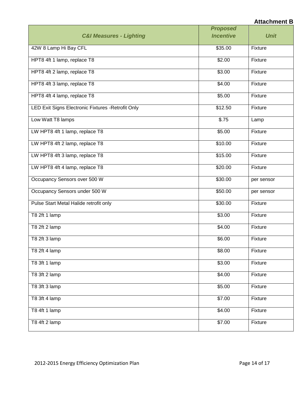|                                                    | <b>Proposed</b>  |             |
|----------------------------------------------------|------------------|-------------|
| <b>C&amp;I Measures - Lighting</b>                 | <b>Incentive</b> | <b>Unit</b> |
| 42W 8 Lamp Hi Bay CFL                              | \$35.00          | Fixture     |
| HPT8 4ft 1 lamp, replace T8                        | \$2.00           | Fixture     |
| HPT8 4ft 2 lamp, replace T8                        | \$3.00           | Fixture     |
| HPT8 4ft 3 lamp, replace T8                        | \$4.00           | Fixture     |
| HPT8 4ft 4 lamp, replace T8                        | \$5.00           | Fixture     |
| LED Exit Signs Electronic Fixtures - Retrofit Only | \$12.50          | Fixture     |
| Low Watt T8 lamps                                  | \$.75            | Lamp        |
| LW HPT8 4ft 1 lamp, replace T8                     | \$5.00           | Fixture     |
| LW HPT8 4ft 2 lamp, replace T8                     | \$10.00          | Fixture     |
| LW HPT8 4ft 3 lamp, replace T8                     | \$15.00          | Fixture     |
| LW HPT8 4ft 4 lamp, replace T8                     | \$20.00          | Fixture     |
| Occupancy Sensors over 500 W                       | \$30.00          | per sensor  |
| Occupancy Sensors under 500 W                      | \$50.00          | per sensor  |
| Pulse Start Metal Halide retrofit only             | \$30.00          | Fixture     |
| T8 2ft 1 lamp                                      | \$3.00           | Fixture     |
| T8 2ft 2 lamp                                      | \$4.00           | Fixture     |
| T8 2ft 3 lamp                                      | \$6.00           | Fixture     |
| T8 2ft 4 lamp                                      | \$8.00           | Fixture     |
| T8 3ft 1 lamp                                      | \$3.00           | Fixture     |
| T8 3ft 2 lamp                                      | \$4.00           | Fixture     |
| T8 3ft 3 lamp                                      | \$5.00           | Fixture     |
| T8 3ft 4 lamp                                      | \$7.00           | Fixture     |
| T8 4ft 1 lamp                                      | \$4.00           | Fixture     |
| $\overline{78}$ 4ft 2 lamp                         | \$7.00           | Fixture     |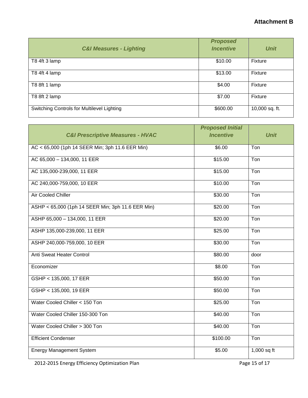| <b>C&amp;I Measures - Lighting</b>         | <b>Proposed</b><br><b>Incentive</b> | <b>Unit</b>    |
|--------------------------------------------|-------------------------------------|----------------|
| T8 4ft 3 lamp                              | \$10.00                             | Fixture        |
| T8 4ft 4 lamp                              | \$13.00                             | Fixture        |
| T8 8ft 1 lamp                              | \$4.00                              | Fixture        |
| T8 8ft 2 lamp                              | \$7.00                              | Fixture        |
| Switching Controls for Multilevel Lighting | \$600.00                            | 10,000 sq. ft. |

|                                                   | <b>Proposed Initial</b> |               |
|---------------------------------------------------|-------------------------|---------------|
| <b>C&amp;I Prescriptive Measures - HVAC</b>       | <b>Incentive</b>        | <b>Unit</b>   |
| AC < 65,000 (1ph 14 SEER Min; 3ph 11.6 EER Min)   | \$6.00                  | Ton           |
| AC 65,000 - 134,000, 11 EER                       | \$15.00                 | Ton           |
| AC 135,000-239,000, 11 EER                        | \$15.00                 | Ton           |
| AC 240,000-759,000, 10 EER                        | \$10.00                 | Ton           |
| Air Cooled Chiller                                | \$30.00                 | Ton           |
| ASHP < 65,000 (1ph 14 SEER Min; 3ph 11.6 EER Min) | \$20.00                 | Ton           |
| ASHP 65,000 - 134,000, 11 EER                     | \$20.00                 | Ton           |
| ASHP 135,000-239,000, 11 EER                      | \$25.00                 | Ton           |
| ASHP 240,000-759,000, 10 EER                      | \$30.00                 | Ton           |
| Anti Sweat Heater Control                         | \$80.00                 | door          |
| Economizer                                        | \$8.00                  | Ton           |
| GSHP < 135,000, 17 EER                            | \$50.00                 | Ton           |
| GSHP < 135,000, 19 EER                            | \$50.00                 | Ton           |
| Water Cooled Chiller < 150 Ton                    | \$25.00                 | Ton           |
| Water Cooled Chiller 150-300 Ton                  | \$40.00                 | Ton           |
| Water Cooled Chiller > 300 Ton                    | \$40.00                 | Ton           |
| <b>Efficient Condenser</b>                        | \$100.00                | Ton           |
| <b>Energy Management System</b>                   | \$5.00                  | $1,000$ sq ft |

2012-2015 Energy Efficiency Optimization Plan Page 15 of 17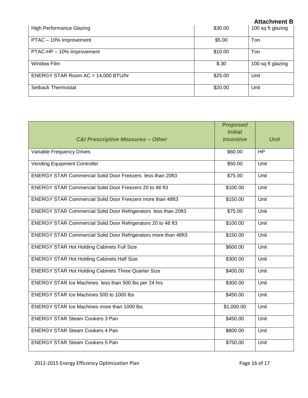|                                     |         | , ,,,,,,,,,,,,,,, |
|-------------------------------------|---------|-------------------|
| <b>High Performance Glazing</b>     | \$30.00 | 100 sq ft glazing |
| PTAC - 10% Improvement              | \$5.00  | Ton               |
| PTAC-HP - 10% Improvement           | \$10.00 | Ton               |
| Window Film                         | \$.30   | 100 sq ft glazing |
| ENERGY STAR Room AC > 14,000 BTU/hr | \$25.00 | Unit              |
| Setback Thermostat                  | \$20.00 | Unit              |

| <b>C&amp;I Prescriptive Measures - Other</b>                      | <b>Proposed</b><br><b>Initial</b><br><b>Incentive</b> | <b>Unit</b> |
|-------------------------------------------------------------------|-------------------------------------------------------|-------------|
| Variable Frequency Drives                                         | \$60.00                                               | <b>HP</b>   |
| <b>Vending Equipment Controller</b>                               | \$50.00                                               | Unit        |
| <b>ENERGY STAR Commercial Solid Door Freezers less than 20ft3</b> | \$75.00                                               | Unit        |
| <b>ENERGY STAR Commercial Solid Door Freezers 20 to 48 ft3</b>    | \$100.00                                              | Unit        |
| <b>ENERGY STAR Commercial Solid Door Freezers more than 48ft3</b> | \$150.00                                              | Unit        |
| ENERGY STAR Commercial Solid Door Refrigerators less than 20ft3   | \$75.00                                               | Unit        |
| ENERGY STAR Commercial Solid Door Refrigerators 20 to 48 ft3      | \$100.00                                              | Unit        |
| ENERGY STAR Commercial Solid Door Refrigerators more than 48ft3   | \$150.00                                              | Unit        |
| <b>ENERGY STAR Hot Holding Cabinets Full Size</b>                 | \$600.00                                              | Unit        |
| <b>ENERGY STAR Hot Holding Cabinets Half Size</b>                 | \$300.00                                              | Unit        |
| <b>ENERGY STAR Hot Holding Cabinets Three Quarter Size</b>        | \$400.00                                              | Unit        |
| ENERGY STAR Ice Machines less than 500 lbs per 24 hrs             | \$300.00                                              | Unit        |
| ENERGY STAR Ice Machines 500 to 1000 lbs                          | \$450.00                                              | Unit        |
| <b>ENERGY STAR Ice Machines more than 1000 lbs</b>                | \$1,000.00                                            | Unit        |
| <b>ENERGY STAR Steam Cookers 3 Pan</b>                            | \$450.00                                              | Unit        |
| <b>ENERGY STAR Steam Cookers 4 Pan</b>                            | \$600.00                                              | Unit        |
| <b>ENERGY STAR Steam Cookers 5 Pan</b>                            | \$750.00                                              | Unit        |